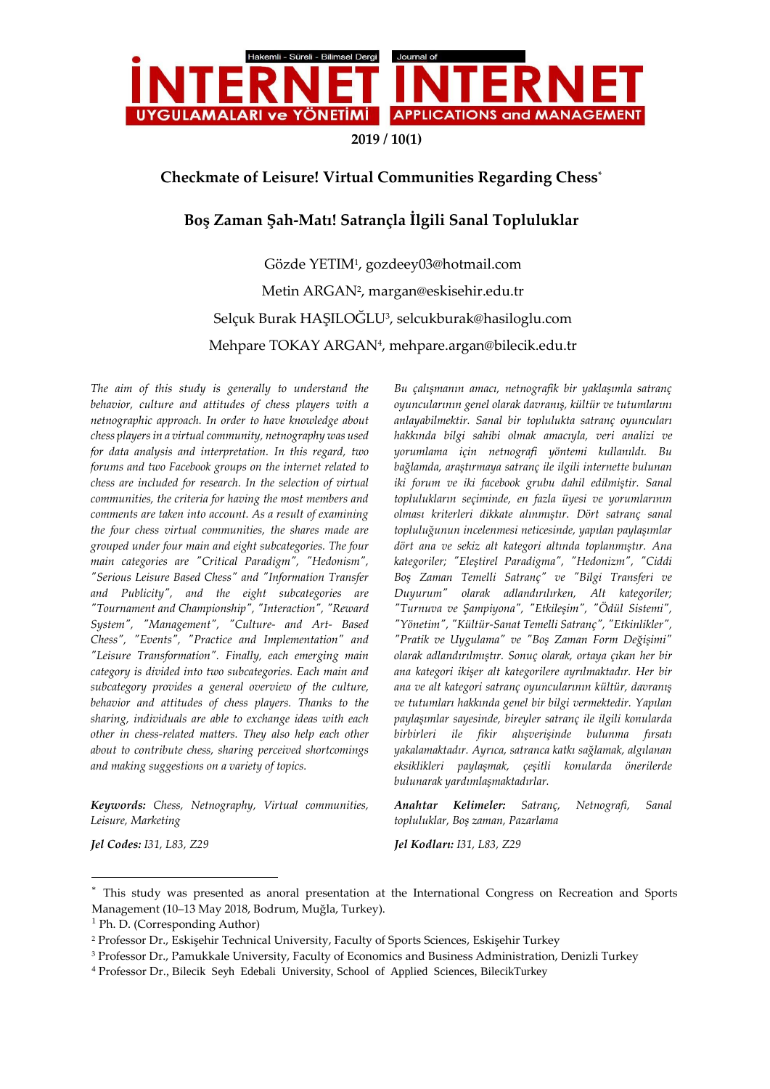

**2019 / 10(1)**

## **Checkmate of Leisure! Virtual Communities Regarding Chess\***

# **Boş Zaman Şah-Matı! Satrançla İlgili Sanal Topluluklar**

Gözde YETIM<sup>1</sup> , gozdeey03@hotmail.com Metin ARGAN<sup>2</sup> , margan@eskisehir.edu.tr Selçuk Burak HAŞILOGLU<sup>3</sup>, selcukburak@hasiloglu.com Mehpare TOKAY ARGAN<sup>4</sup> , mehpare.argan@bilecik.edu.tr

*The aim of this study is generally to understand the behavior, culture and attitudes of chess players with a netnographic approach. In order to have knowledge about chess players in a virtual community, netnography was used for data analysis and interpretation. In this regard, two forums and two Facebook groups on the internet related to chess are included for research. In the selection of virtual communities, the criteria for having the most members and comments are taken into account. As a result of examining the four chess virtual communities, the shares made are grouped under four main and eight subcategories. The four main categories are "Critical Paradigm", "Hedonism", "Serious Leisure Based Chess" and "Information Transfer and Publicity", and the eight subcategories are "Tournament and Championship", "Interaction", "Reward System", "Management", "Culture- and Art- Based Chess", "Events", "Practice and Implementation" and "Leisure Transformation". Finally, each emerging main category is divided into two subcategories. Each main and subcategory provides a general overview of the culture, behavior and attitudes of chess players. Thanks to the sharing, individuals are able to exchange ideas with each other in chess-related matters. They also help each other about to contribute chess, sharing perceived shortcomings and making suggestions on a variety of topics.* 

*Keywords: Chess, Netnography, Virtual communities, Leisure, Marketing*

*Bu çalışmanın amacı, netnografik bir yaklaşımla satranç oyuncularının genel olarak davranış, kültür ve tutumlarını anlayabilmektir. Sanal bir toplulukta satranç oyuncuları hakkında bilgi sahibi olmak amacıyla, veri analizi ve yorumlama için netnografi yöntemi kullanıldı. Bu bağlamda, araştırmaya satranç ile ilgili internette bulunan iki forum ve iki facebook grubu dahil edilmiştir. Sanal toplulukların seçiminde, en fazla üyesi ve yorumlarının olması kriterleri dikkate alınmıştır. Dört satranç sanal topluluğunun incelenmesi neticesinde, yapılan paylaşımlar dört ana ve sekiz alt kategori altında toplanmıştır. Ana kategoriler; "Eleştirel Paradigma", "Hedonizm", "Ciddi Boş Zaman Temelli Satranç" ve "Bilgi Transferi ve Duyurum" olarak adlandırılırken, Alt kategoriler; "Turnuva ve Şampiyona", "Etkileşim", "Ödül Sistemi", "Yönetim", "Kültür-Sanat Temelli Satranç", "Etkinlikler", "Pratik ve Uygulama" ve "Boş Zaman Form Değişimi" olarak adlandırılmıştır. Sonuç olarak, ortaya çıkan her bir ana kategori ikişer alt kategorilere ayrılmaktadır. Her bir ana ve alt kategori satranç oyuncularının kültür, davranış ve tutumları hakkında genel bir bilgi vermektedir. Yapılan paylaşımlar sayesinde, bireyler satranç ile ilgili konularda birbirleri ile fikir alışverişinde bulunma fırsatı yakalamaktadır. Ayrıca, satranca katkı sağlamak, algılanan eksiklikleri paylaşmak, çeşitli konularda önerilerde bulunarak yardımlaşmaktadırlar.* 

*Anahtar Kelimeler: Satranç, Netnografi, Sanal topluluklar, Boş zaman, Pazarlama*

 $\overline{a}$ 

*Jel Codes: I31, L83, Z29 Jel Kodları: I31, L83, Z29*

<sup>\*</sup> This study was presented as anoral presentation at the International Congress on Recreation and Sports Management (10–13 May 2018, Bodrum, Muğla, Turkey).

<sup>1</sup> Ph. D. (Corresponding Author)

<sup>2</sup> Professor Dr., Eskişehir Technical University, Faculty of Sports Sciences, Eskişehir Turkey

<sup>3</sup> Professor Dr., Pamukkale University, Faculty of Economics and Business Administration, Denizli Turkey

<sup>4</sup> Professor Dr., Bilecik Seyh Edebali University, School of Applied Sciences, BilecikTurkey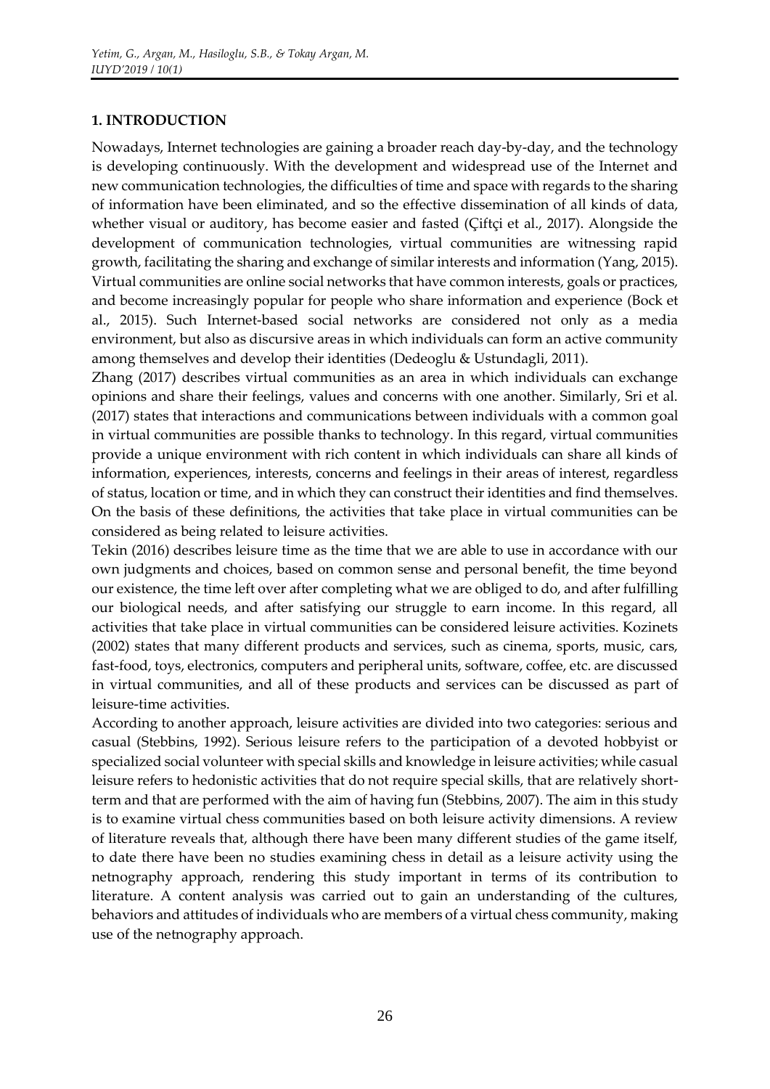### **1. INTRODUCTION**

Nowadays, Internet technologies are gaining a broader reach day-by-day, and the technology is developing continuously. With the development and widespread use of the Internet and new communication technologies, the difficulties of time and space with regards to the sharing of information have been eliminated, and so the effective dissemination of all kinds of data, whether visual or auditory, has become easier and fasted (Çiftçi et al., 2017). Alongside the development of communication technologies, virtual communities are witnessing rapid growth, facilitating the sharing and exchange of similar interests and information (Yang, 2015). Virtual communities are online social networks that have common interests, goals or practices, and become increasingly popular for people who share information and experience (Bock et al., 2015). Such Internet-based social networks are considered not only as a media environment, but also as discursive areas in which individuals can form an active community among themselves and develop their identities (Dedeoglu & Ustundagli, 2011).

Zhang (2017) describes virtual communities as an area in which individuals can exchange opinions and share their feelings, values and concerns with one another. Similarly, Sri et al. (2017) states that interactions and communications between individuals with a common goal in virtual communities are possible thanks to technology. In this regard, virtual communities provide a unique environment with rich content in which individuals can share all kinds of information, experiences, interests, concerns and feelings in their areas of interest, regardless of status, location or time, and in which they can construct their identities and find themselves. On the basis of these definitions, the activities that take place in virtual communities can be considered as being related to leisure activities.

Tekin (2016) describes leisure time as the time that we are able to use in accordance with our own judgments and choices, based on common sense and personal benefit, the time beyond our existence, the time left over after completing what we are obliged to do, and after fulfilling our biological needs, and after satisfying our struggle to earn income. In this regard, all activities that take place in virtual communities can be considered leisure activities. Kozinets (2002) states that many different products and services, such as cinema, sports, music, cars, fast-food, toys, electronics, computers and peripheral units, software, coffee, etc. are discussed in virtual communities, and all of these products and services can be discussed as part of leisure-time activities.

According to another approach, leisure activities are divided into two categories: serious and casual (Stebbins, 1992). Serious leisure refers to the participation of a devoted hobbyist or specialized social volunteer with special skills and knowledge in leisure activities; while casual leisure refers to hedonistic activities that do not require special skills, that are relatively shortterm and that are performed with the aim of having fun (Stebbins, 2007). The aim in this study is to examine virtual chess communities based on both leisure activity dimensions. A review of literature reveals that, although there have been many different studies of the game itself, to date there have been no studies examining chess in detail as a leisure activity using the netnography approach, rendering this study important in terms of its contribution to literature. A content analysis was carried out to gain an understanding of the cultures, behaviors and attitudes of individuals who are members of a virtual chess community, making use of the netnography approach.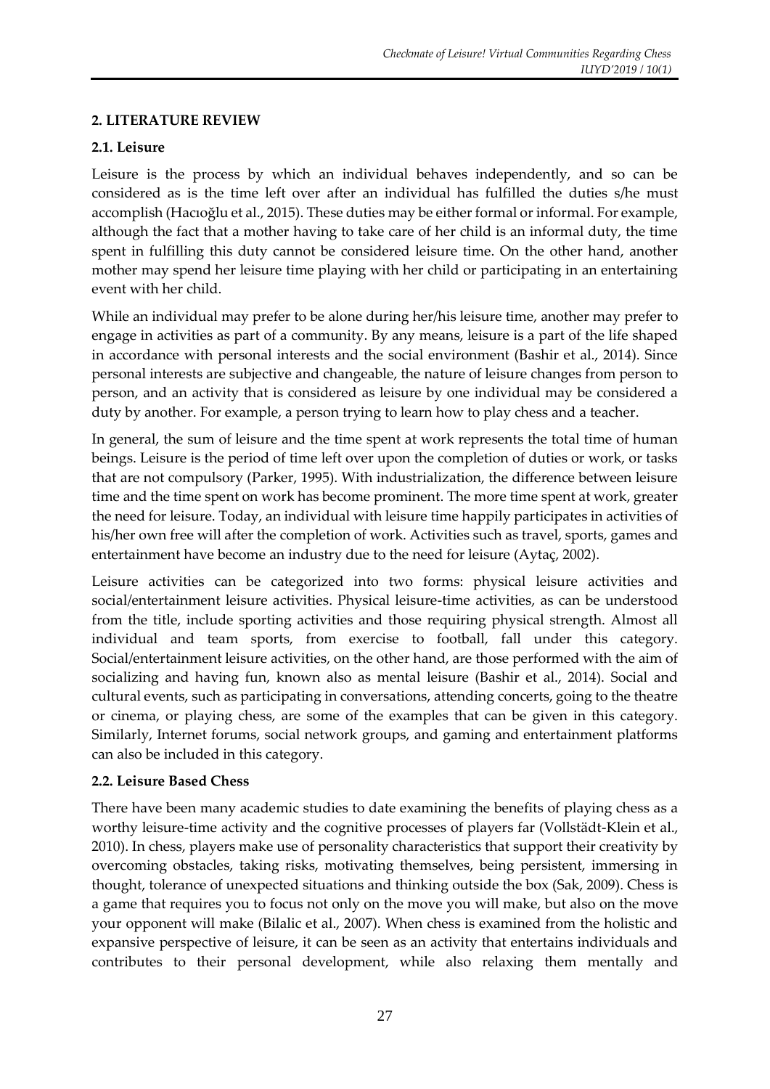## **2. LITERATURE REVIEW**

### **2.1. Leisure**

Leisure is the process by which an individual behaves independently, and so can be considered as is the time left over after an individual has fulfilled the duties s/he must accomplish (Hacıoğlu et al., 2015). These duties may be either formal or informal. For example, although the fact that a mother having to take care of her child is an informal duty, the time spent in fulfilling this duty cannot be considered leisure time. On the other hand, another mother may spend her leisure time playing with her child or participating in an entertaining event with her child.

While an individual may prefer to be alone during her/his leisure time, another may prefer to engage in activities as part of a community. By any means, leisure is a part of the life shaped in accordance with personal interests and the social environment (Bashir et al., 2014). Since personal interests are subjective and changeable, the nature of leisure changes from person to person, and an activity that is considered as leisure by one individual may be considered a duty by another. For example, a person trying to learn how to play chess and a teacher.

In general, the sum of leisure and the time spent at work represents the total time of human beings. Leisure is the period of time left over upon the completion of duties or work, or tasks that are not compulsory (Parker, 1995). With industrialization, the difference between leisure time and the time spent on work has become prominent. The more time spent at work, greater the need for leisure. Today, an individual with leisure time happily participates in activities of his/her own free will after the completion of work. Activities such as travel, sports, games and entertainment have become an industry due to the need for leisure (Aytaç, 2002).

Leisure activities can be categorized into two forms: physical leisure activities and social/entertainment leisure activities. Physical leisure-time activities, as can be understood from the title, include sporting activities and those requiring physical strength. Almost all individual and team sports, from exercise to football, fall under this category. Social/entertainment leisure activities, on the other hand, are those performed with the aim of socializing and having fun, known also as mental leisure (Bashir et al., 2014). Social and cultural events, such as participating in conversations, attending concerts, going to the theatre or cinema, or playing chess, are some of the examples that can be given in this category. Similarly, Internet forums, social network groups, and gaming and entertainment platforms can also be included in this category.

#### **2.2. Leisure Based Chess**

There have been many academic studies to date examining the benefits of playing chess as a worthy leisure-time activity and the cognitive processes of players far (Vollstädt-Klein et al., 2010). In chess, players make use of personality characteristics that support their creativity by overcoming obstacles, taking risks, motivating themselves, being persistent, immersing in thought, tolerance of unexpected situations and thinking outside the box (Sak, 2009). Chess is a game that requires you to focus not only on the move you will make, but also on the move your opponent will make (Bilalic et al., 2007). When chess is examined from the holistic and expansive perspective of leisure, it can be seen as an activity that entertains individuals and contributes to their personal development, while also relaxing them mentally and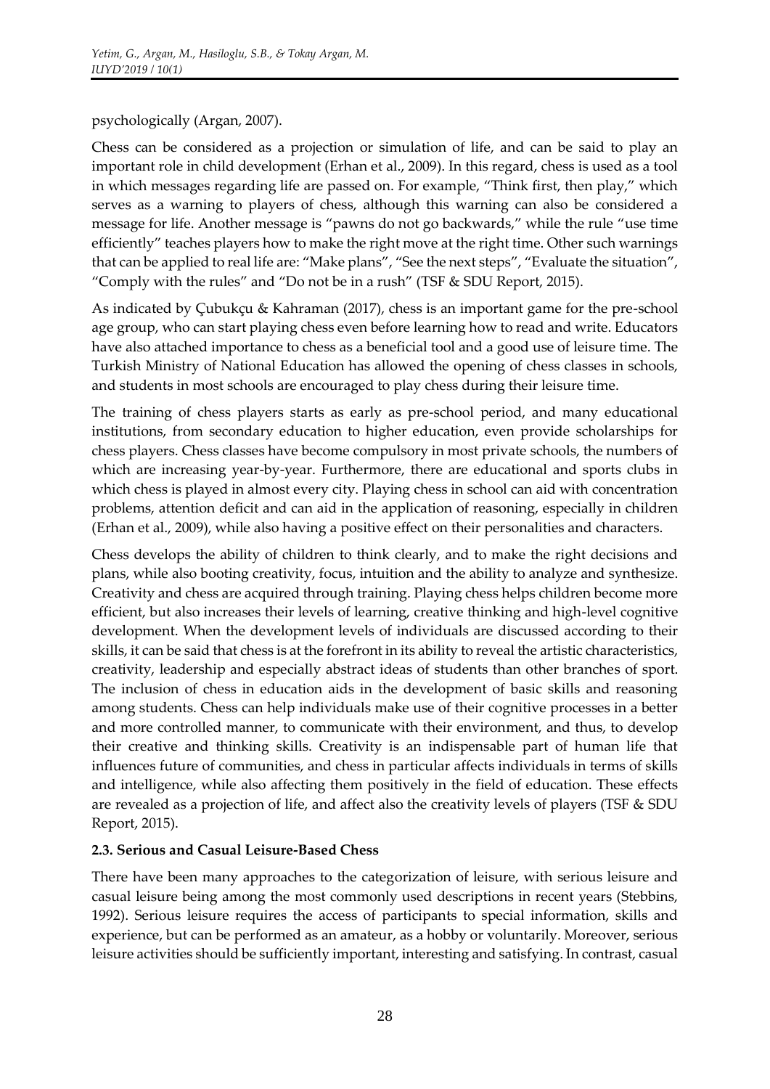## psychologically (Argan, 2007).

Chess can be considered as a projection or simulation of life, and can be said to play an important role in child development (Erhan et al., 2009). In this regard, chess is used as a tool in which messages regarding life are passed on. For example, "Think first, then play," which serves as a warning to players of chess, although this warning can also be considered a message for life. Another message is "pawns do not go backwards," while the rule "use time efficiently" teaches players how to make the right move at the right time. Other such warnings that can be applied to real life are: "Make plans", "See the next steps", "Evaluate the situation", "Comply with the rules" and "Do not be in a rush" (TSF & SDU Report, 2015).

As indicated by Çubukçu & Kahraman (2017), chess is an important game for the pre-school age group, who can start playing chess even before learning how to read and write. Educators have also attached importance to chess as a beneficial tool and a good use of leisure time. The Turkish Ministry of National Education has allowed the opening of chess classes in schools, and students in most schools are encouraged to play chess during their leisure time.

The training of chess players starts as early as pre-school period, and many educational institutions, from secondary education to higher education, even provide scholarships for chess players. Chess classes have become compulsory in most private schools, the numbers of which are increasing year-by-year. Furthermore, there are educational and sports clubs in which chess is played in almost every city. Playing chess in school can aid with concentration problems, attention deficit and can aid in the application of reasoning, especially in children (Erhan et al., 2009), while also having a positive effect on their personalities and characters.

Chess develops the ability of children to think clearly, and to make the right decisions and plans, while also booting creativity, focus, intuition and the ability to analyze and synthesize. Creativity and chess are acquired through training. Playing chess helps children become more efficient, but also increases their levels of learning, creative thinking and high-level cognitive development. When the development levels of individuals are discussed according to their skills, it can be said that chess is at the forefront in its ability to reveal the artistic characteristics, creativity, leadership and especially abstract ideas of students than other branches of sport. The inclusion of chess in education aids in the development of basic skills and reasoning among students. Chess can help individuals make use of their cognitive processes in a better and more controlled manner, to communicate with their environment, and thus, to develop their creative and thinking skills. Creativity is an indispensable part of human life that influences future of communities, and chess in particular affects individuals in terms of skills and intelligence, while also affecting them positively in the field of education. These effects are revealed as a projection of life, and affect also the creativity levels of players (TSF & SDU Report, 2015).

## **2.3. Serious and Casual Leisure-Based Chess**

There have been many approaches to the categorization of leisure, with serious leisure and casual leisure being among the most commonly used descriptions in recent years (Stebbins, 1992). Serious leisure requires the access of participants to special information, skills and experience, but can be performed as an amateur, as a hobby or voluntarily. Moreover, serious leisure activities should be sufficiently important, interesting and satisfying. In contrast, casual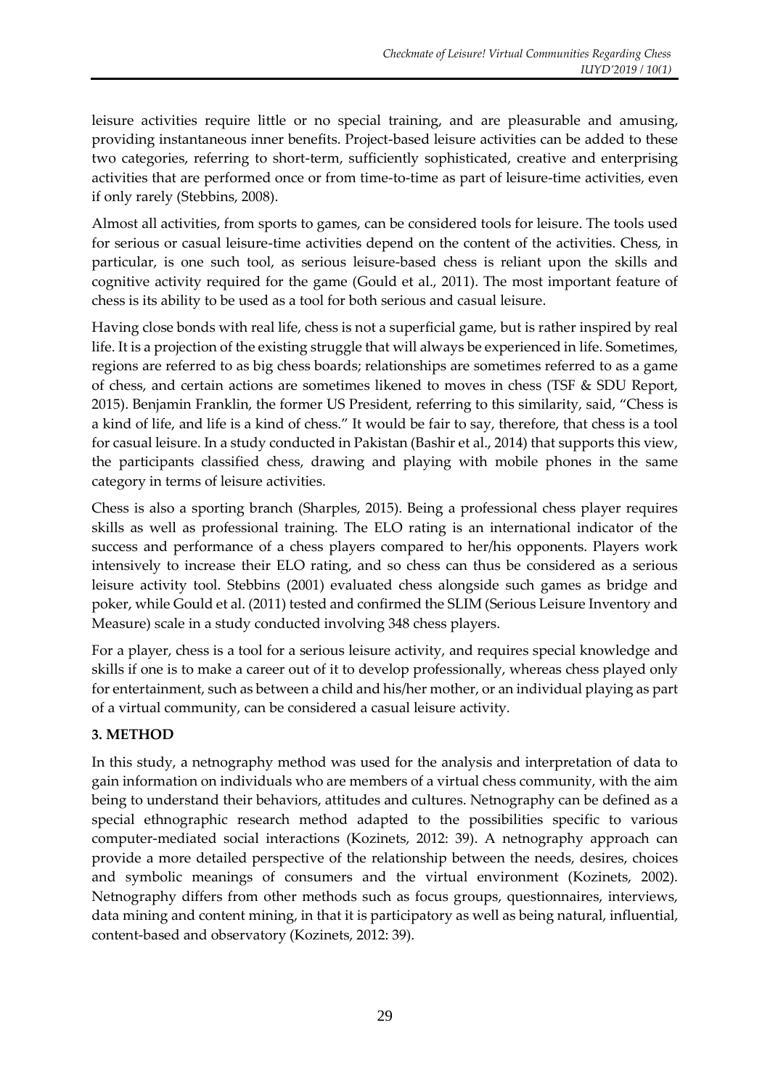leisure activities require little or no special training, and are pleasurable and amusing, providing instantaneous inner benefits. Project-based leisure activities can be added to these two categories, referring to short-term, sufficiently sophisticated, creative and enterprising activities that are performed once or from time-to-time as part of leisure-time activities, even if only rarely (Stebbins, 2008).

Almost all activities, from sports to games, can be considered tools for leisure. The tools used for serious or casual leisure-time activities depend on the content of the activities. Chess, in particular, is one such tool, as serious leisure-based chess is reliant upon the skills and cognitive activity required for the game (Gould et al., 2011). The most important feature of chess is its ability to be used as a tool for both serious and casual leisure.

Having close bonds with real life, chess is not a superficial game, but is rather inspired by real life. It is a projection of the existing struggle that will always be experienced in life. Sometimes, regions are referred to as big chess boards; relationships are sometimes referred to as a game of chess, and certain actions are sometimes likened to moves in chess (TSF & SDU Report, 2015). Benjamin Franklin, the former US President, referring to this similarity, said, "Chess is a kind of life, and life is a kind of chess." It would be fair to say, therefore, that chess is a tool for casual leisure. In a study conducted in Pakistan (Bashir et al., 2014) that supports this view, the participants classified chess, drawing and playing with mobile phones in the same category in terms of leisure activities.

Chess is also a sporting branch (Sharples, 2015). Being a professional chess player requires skills as well as professional training. The ELO rating is an international indicator of the success and performance of a chess players compared to her/his opponents. Players work intensively to increase their ELO rating, and so chess can thus be considered as a serious leisure activity tool. Stebbins (2001) evaluated chess alongside such games as bridge and poker, while Gould et al. (2011) tested and confirmed the SLIM (Serious Leisure Inventory and Measure) scale in a study conducted involving 348 chess players.

For a player, chess is a tool for a serious leisure activity, and requires special knowledge and skills if one is to make a career out of it to develop professionally, whereas chess played only for entertainment, such as between a child and his/her mother, or an individual playing as part of a virtual community, can be considered a casual leisure activity.

## **3. METHOD**

In this study, a netnography method was used for the analysis and interpretation of data to gain information on individuals who are members of a virtual chess community, with the aim being to understand their behaviors, attitudes and cultures. Netnography can be defined as a special ethnographic research method adapted to the possibilities specific to various computer-mediated social interactions (Kozinets, 2012: 39). A netnography approach can provide a more detailed perspective of the relationship between the needs, desires, choices and symbolic meanings of consumers and the virtual environment (Kozinets, 2002). Netnography differs from other methods such as focus groups, questionnaires, interviews, data mining and content mining, in that it is participatory as well as being natural, influential, content-based and observatory (Kozinets, 2012: 39).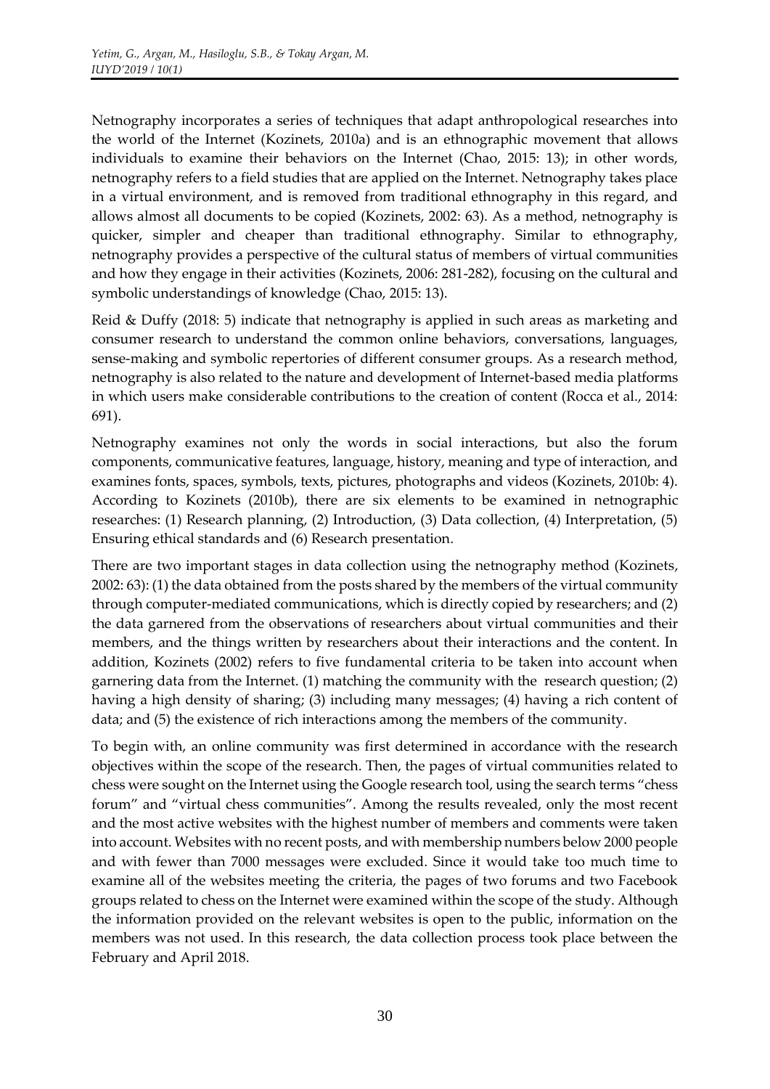Netnography incorporates a series of techniques that adapt anthropological researches into the world of the Internet (Kozinets, 2010a) and is an ethnographic movement that allows individuals to examine their behaviors on the Internet (Chao, 2015: 13); in other words, netnography refers to a field studies that are applied on the Internet. Netnography takes place in a virtual environment, and is removed from traditional ethnography in this regard, and allows almost all documents to be copied (Kozinets, 2002: 63). As a method, netnography is quicker, simpler and cheaper than traditional ethnography. Similar to ethnography, netnography provides a perspective of the cultural status of members of virtual communities and how they engage in their activities (Kozinets, 2006: 281-282), focusing on the cultural and symbolic understandings of knowledge (Chao, 2015: 13).

Reid & Duffy (2018: 5) indicate that netnography is applied in such areas as marketing and consumer research to understand the common online behaviors, conversations, languages, sense-making and symbolic repertories of different consumer groups. As a research method, netnography is also related to the nature and development of Internet-based media platforms in which users make considerable contributions to the creation of content (Rocca et al., 2014: 691).

Netnography examines not only the words in social interactions, but also the forum components, communicative features, language, history, meaning and type of interaction, and examines fonts, spaces, symbols, texts, pictures, photographs and videos (Kozinets, 2010b: 4). According to Kozinets (2010b), there are six elements to be examined in netnographic researches: (1) Research planning, (2) Introduction, (3) Data collection, (4) Interpretation, (5) Ensuring ethical standards and (6) Research presentation.

There are two important stages in data collection using the netnography method (Kozinets, 2002: 63): (1) the data obtained from the posts shared by the members of the virtual community through computer-mediated communications, which is directly copied by researchers; and (2) the data garnered from the observations of researchers about virtual communities and their members, and the things written by researchers about their interactions and the content. In addition, Kozinets (2002) refers to five fundamental criteria to be taken into account when garnering data from the Internet. (1) matching the community with the research question; (2) having a high density of sharing; (3) including many messages; (4) having a rich content of data; and (5) the existence of rich interactions among the members of the community.

To begin with, an online community was first determined in accordance with the research objectives within the scope of the research. Then, the pages of virtual communities related to chess were sought on the Internet using the Google research tool, using the search terms "chess forum" and "virtual chess communities". Among the results revealed, only the most recent and the most active websites with the highest number of members and comments were taken into account. Websites with no recent posts, and with membership numbers below 2000 people and with fewer than 7000 messages were excluded. Since it would take too much time to examine all of the websites meeting the criteria, the pages of two forums and two Facebook groups related to chess on the Internet were examined within the scope of the study. Although the information provided on the relevant websites is open to the public, information on the members was not used. In this research, the data collection process took place between the February and April 2018.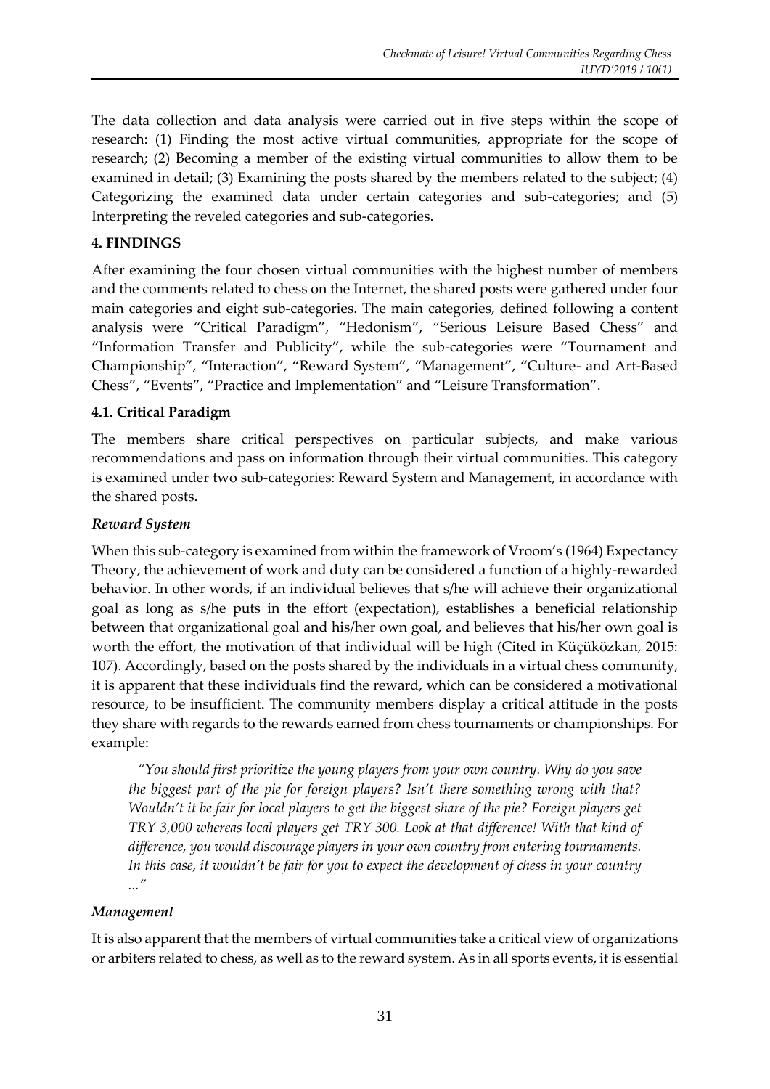The data collection and data analysis were carried out in five steps within the scope of research: (1) Finding the most active virtual communities, appropriate for the scope of research; (2) Becoming a member of the existing virtual communities to allow them to be examined in detail; (3) Examining the posts shared by the members related to the subject; (4) Categorizing the examined data under certain categories and sub-categories; and (5) Interpreting the reveled categories and sub-categories.

### **4. FINDINGS**

After examining the four chosen virtual communities with the highest number of members and the comments related to chess on the Internet, the shared posts were gathered under four main categories and eight sub-categories. The main categories, defined following a content analysis were "Critical Paradigm", "Hedonism", "Serious Leisure Based Chess" and "Information Transfer and Publicity", while the sub-categories were "Tournament and Championship", "Interaction", "Reward System", "Management", "Culture- and Art-Based Chess", "Events", "Practice and Implementation" and "Leisure Transformation".

### **4.1. Critical Paradigm**

The members share critical perspectives on particular subjects, and make various recommendations and pass on information through their virtual communities. This category is examined under two sub-categories: Reward System and Management, in accordance with the shared posts.

#### *Reward System*

When this sub-category is examined from within the framework of Vroom's (1964) Expectancy Theory, the achievement of work and duty can be considered a function of a highly-rewarded behavior. In other words, if an individual believes that s/he will achieve their organizational goal as long as s/he puts in the effort (expectation), establishes a beneficial relationship between that organizational goal and his/her own goal, and believes that his/her own goal is worth the effort, the motivation of that individual will be high (Cited in Küçüközkan, 2015: 107). Accordingly, based on the posts shared by the individuals in a virtual chess community, it is apparent that these individuals find the reward, which can be considered a motivational resource, to be insufficient. The community members display a critical attitude in the posts they share with regards to the rewards earned from chess tournaments or championships. For example:

*"You should first prioritize the young players from your own country. Why do you save the biggest part of the pie for foreign players? Isn't there something wrong with that? Wouldn't it be fair for local players to get the biggest share of the pie? Foreign players get TRY 3,000 whereas local players get TRY 300. Look at that difference! With that kind of difference, you would discourage players in your own country from entering tournaments. In this case, it wouldn't be fair for you to expect the development of chess in your country ..."*

#### *Management*

It is also apparent that the members of virtual communities take a critical view of organizations or arbiters related to chess, as well as to the reward system. As in all sports events, it is essential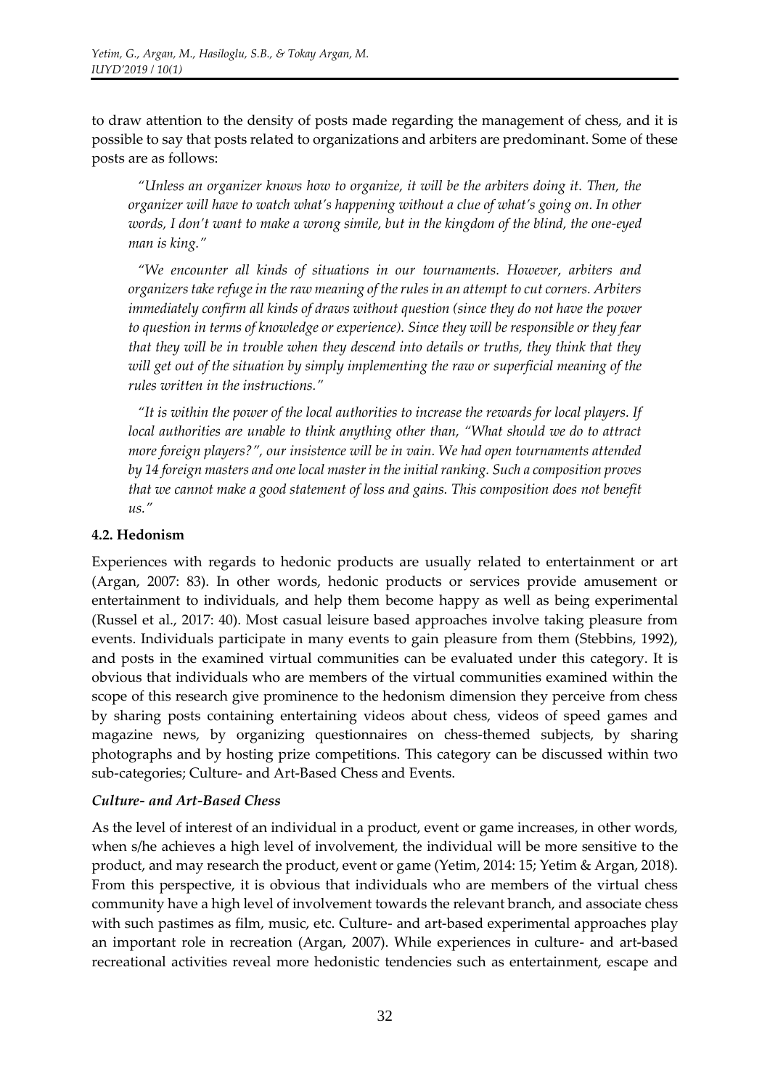to draw attention to the density of posts made regarding the management of chess, and it is possible to say that posts related to organizations and arbiters are predominant. Some of these posts are as follows:

*"Unless an organizer knows how to organize, it will be the arbiters doing it. Then, the organizer will have to watch what's happening without a clue of what's going on. In other words, I don't want to make a wrong simile, but in the kingdom of the blind, the one-eyed man is king."* 

*"We encounter all kinds of situations in our tournaments. However, arbiters and organizers take refuge in the raw meaning of the rules in an attempt to cut corners. Arbiters immediately confirm all kinds of draws without question (since they do not have the power to question in terms of knowledge or experience). Since they will be responsible or they fear that they will be in trouble when they descend into details or truths, they think that they will get out of the situation by simply implementing the raw or superficial meaning of the rules written in the instructions."* 

*"It is within the power of the local authorities to increase the rewards for local players. If local authorities are unable to think anything other than, "What should we do to attract more foreign players?", our insistence will be in vain. We had open tournaments attended by 14 foreign masters and one local master in the initial ranking. Such a composition proves that we cannot make a good statement of loss and gains. This composition does not benefit us."* 

### **4.2. Hedonism**

Experiences with regards to hedonic products are usually related to entertainment or art (Argan, 2007: 83). In other words, hedonic products or services provide amusement or entertainment to individuals, and help them become happy as well as being experimental (Russel et al., 2017: 40). Most casual leisure based approaches involve taking pleasure from events. Individuals participate in many events to gain pleasure from them (Stebbins, 1992), and posts in the examined virtual communities can be evaluated under this category. It is obvious that individuals who are members of the virtual communities examined within the scope of this research give prominence to the hedonism dimension they perceive from chess by sharing posts containing entertaining videos about chess, videos of speed games and magazine news, by organizing questionnaires on chess-themed subjects, by sharing photographs and by hosting prize competitions. This category can be discussed within two sub-categories; Culture- and Art-Based Chess and Events.

#### *Culture- and Art-Based Chess*

As the level of interest of an individual in a product, event or game increases, in other words, when s/he achieves a high level of involvement, the individual will be more sensitive to the product, and may research the product, event or game (Yetim, 2014: 15; Yetim & Argan, 2018). From this perspective, it is obvious that individuals who are members of the virtual chess community have a high level of involvement towards the relevant branch, and associate chess with such pastimes as film, music, etc. Culture- and art-based experimental approaches play an important role in recreation (Argan, 2007). While experiences in culture- and art-based recreational activities reveal more hedonistic tendencies such as entertainment, escape and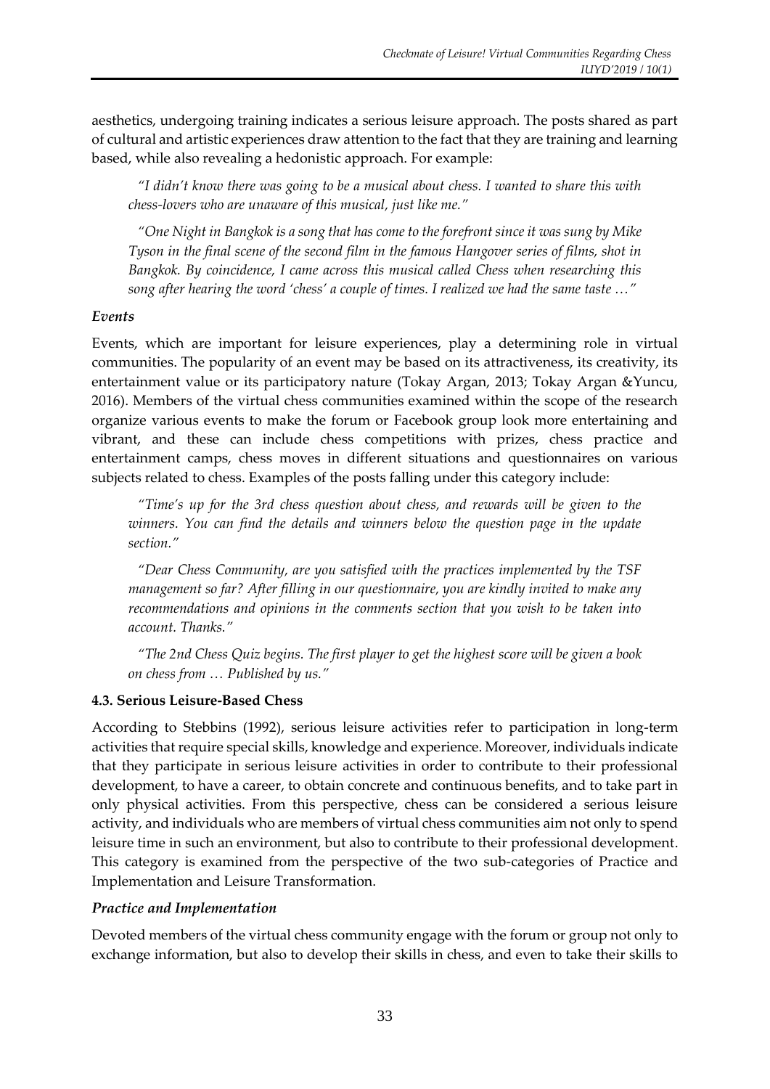aesthetics, undergoing training indicates a serious leisure approach. The posts shared as part of cultural and artistic experiences draw attention to the fact that they are training and learning based, while also revealing a hedonistic approach. For example:

*"I didn't know there was going to be a musical about chess. I wanted to share this with chess-lovers who are unaware of this musical, just like me."* 

*"One Night in Bangkok is a song that has come to the forefront since it was sung by Mike Tyson in the final scene of the second film in the famous Hangover series of films, shot in Bangkok. By coincidence, I came across this musical called Chess when researching this song after hearing the word 'chess' a couple of times. I realized we had the same taste …"*

### *Events*

Events, which are important for leisure experiences, play a determining role in virtual communities. The popularity of an event may be based on its attractiveness, its creativity, its entertainment value or its participatory nature (Tokay Argan, 2013; Tokay Argan &Yuncu, 2016). Members of the virtual chess communities examined within the scope of the research organize various events to make the forum or Facebook group look more entertaining and vibrant, and these can include chess competitions with prizes, chess practice and entertainment camps, chess moves in different situations and questionnaires on various subjects related to chess. Examples of the posts falling under this category include:

*"Time's up for the 3rd chess question about chess, and rewards will be given to the winners. You can find the details and winners below the question page in the update section."* 

*"Dear Chess Community, are you satisfied with the practices implemented by the TSF management so far? After filling in our questionnaire, you are kindly invited to make any recommendations and opinions in the comments section that you wish to be taken into account. Thanks."* 

*"The 2nd Chess Quiz begins. The first player to get the highest score will be given a book on chess from … Published by us."*

## **4.3. Serious Leisure-Based Chess**

According to Stebbins (1992), serious leisure activities refer to participation in long-term activities that require special skills, knowledge and experience. Moreover, individuals indicate that they participate in serious leisure activities in order to contribute to their professional development, to have a career, to obtain concrete and continuous benefits, and to take part in only physical activities. From this perspective, chess can be considered a serious leisure activity, and individuals who are members of virtual chess communities aim not only to spend leisure time in such an environment, but also to contribute to their professional development. This category is examined from the perspective of the two sub-categories of Practice and Implementation and Leisure Transformation.

## *Practice and Implementation*

Devoted members of the virtual chess community engage with the forum or group not only to exchange information, but also to develop their skills in chess, and even to take their skills to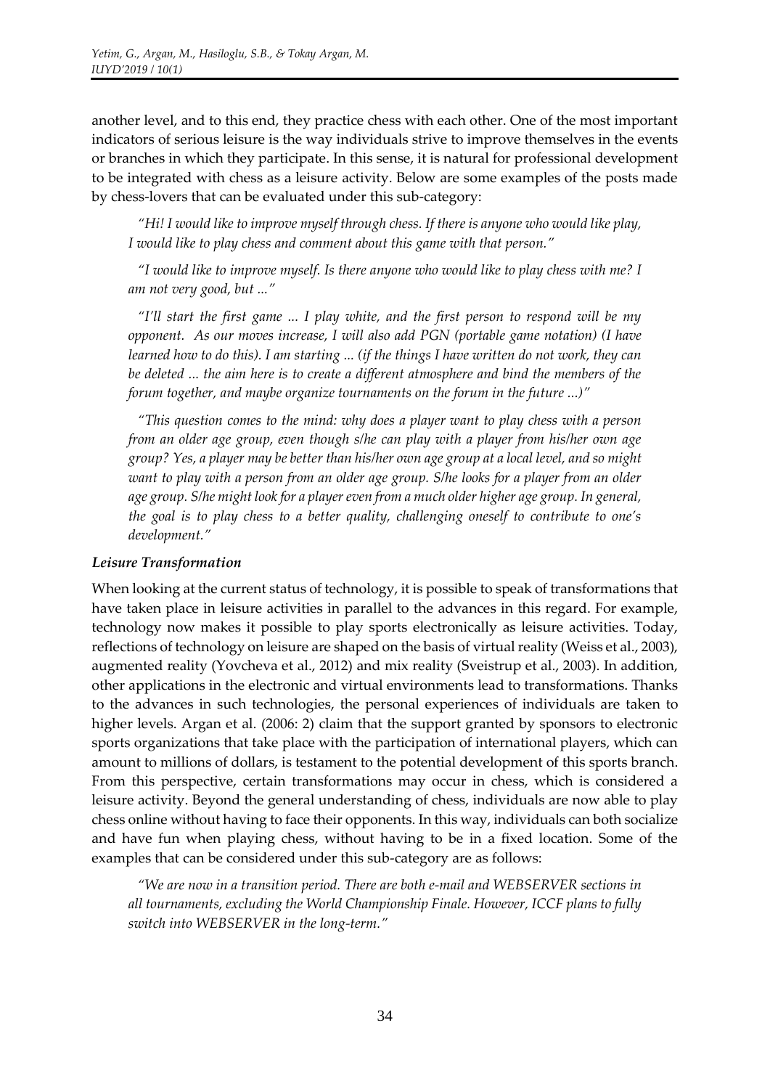another level, and to this end, they practice chess with each other. One of the most important indicators of serious leisure is the way individuals strive to improve themselves in the events or branches in which they participate. In this sense, it is natural for professional development to be integrated with chess as a leisure activity. Below are some examples of the posts made by chess-lovers that can be evaluated under this sub-category:

*"Hi! I would like to improve myself through chess. If there is anyone who would like play, I would like to play chess and comment about this game with that person."* 

*"I would like to improve myself. Is there anyone who would like to play chess with me? I am not very good, but ..."* 

*"I'll start the first game ... I play white, and the first person to respond will be my opponent. As our moves increase, I will also add PGN (portable game notation) (I have learned how to do this). I am starting ... (if the things I have written do not work, they can be deleted ... the aim here is to create a different atmosphere and bind the members of the forum together, and maybe organize tournaments on the forum in the future ...)"* 

*"This question comes to the mind: why does a player want to play chess with a person from an older age group, even though s/he can play with a player from his/her own age group? Yes, a player may be better than his/her own age group at a local level, and so might want to play with a person from an older age group. S/he looks for a player from an older age group. S/he might look for a player even from a much older higher age group. In general, the goal is to play chess to a better quality, challenging oneself to contribute to one's development."*

## *Leisure Transformation*

When looking at the current status of technology, it is possible to speak of transformations that have taken place in leisure activities in parallel to the advances in this regard. For example, technology now makes it possible to play sports electronically as leisure activities. Today, reflections of technology on leisure are shaped on the basis of virtual reality (Weiss et al., 2003), augmented reality (Yovcheva et al., 2012) and mix reality (Sveistrup et al., 2003). In addition, other applications in the electronic and virtual environments lead to transformations. Thanks to the advances in such technologies, the personal experiences of individuals are taken to higher levels. Argan et al. (2006: 2) claim that the support granted by sponsors to electronic sports organizations that take place with the participation of international players, which can amount to millions of dollars, is testament to the potential development of this sports branch. From this perspective, certain transformations may occur in chess, which is considered a leisure activity. Beyond the general understanding of chess, individuals are now able to play chess online without having to face their opponents. In this way, individuals can both socialize and have fun when playing chess, without having to be in a fixed location. Some of the examples that can be considered under this sub-category are as follows:

*"We are now in a transition period. There are both e-mail and WEBSERVER sections in all tournaments, excluding the World Championship Finale. However, ICCF plans to fully switch into WEBSERVER in the long-term."*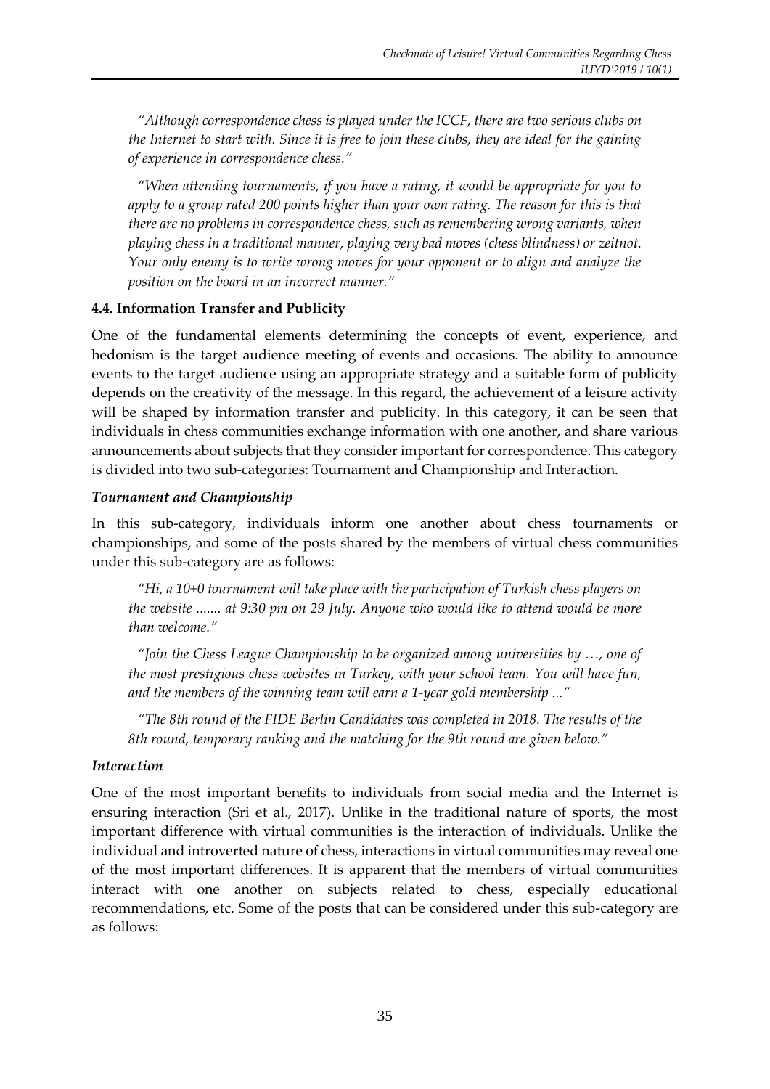*"Although correspondence chess is played under the ICCF, there are two serious clubs on the Internet to start with. Since it is free to join these clubs, they are ideal for the gaining of experience in correspondence chess."* 

*"When attending tournaments, if you have a rating, it would be appropriate for you to apply to a group rated 200 points higher than your own rating. The reason for this is that there are no problems in correspondence chess, such as remembering wrong variants, when playing chess in a traditional manner, playing very bad moves (chess blindness) or zeitnot. Your only enemy is to write wrong moves for your opponent or to align and analyze the position on the board in an incorrect manner."* 

## **4.4. Information Transfer and Publicity**

One of the fundamental elements determining the concepts of event, experience, and hedonism is the target audience meeting of events and occasions. The ability to announce events to the target audience using an appropriate strategy and a suitable form of publicity depends on the creativity of the message. In this regard, the achievement of a leisure activity will be shaped by information transfer and publicity. In this category, it can be seen that individuals in chess communities exchange information with one another, and share various announcements about subjects that they consider important for correspondence. This category is divided into two sub-categories: Tournament and Championship and Interaction.

### *Tournament and Championship*

In this sub-category, individuals inform one another about chess tournaments or championships, and some of the posts shared by the members of virtual chess communities under this sub-category are as follows:

*"Hi, a 10+0 tournament will take place with the participation of Turkish chess players on the website ....... at 9:30 pm on 29 July. Anyone who would like to attend would be more than welcome."*

*"Join the Chess League Championship to be organized among universities by …, one of the most prestigious chess websites in Turkey, with your school team. You will have fun, and the members of the winning team will earn a 1-year gold membership ..."*

*"The 8th round of the FIDE Berlin Candidates was completed in 2018. The results of the 8th round, temporary ranking and the matching for the 9th round are given below."*

#### *Interaction*

One of the most important benefits to individuals from social media and the Internet is ensuring interaction (Sri et al., 2017). Unlike in the traditional nature of sports, the most important difference with virtual communities is the interaction of individuals. Unlike the individual and introverted nature of chess, interactions in virtual communities may reveal one of the most important differences. It is apparent that the members of virtual communities interact with one another on subjects related to chess, especially educational recommendations, etc. Some of the posts that can be considered under this sub-category are as follows: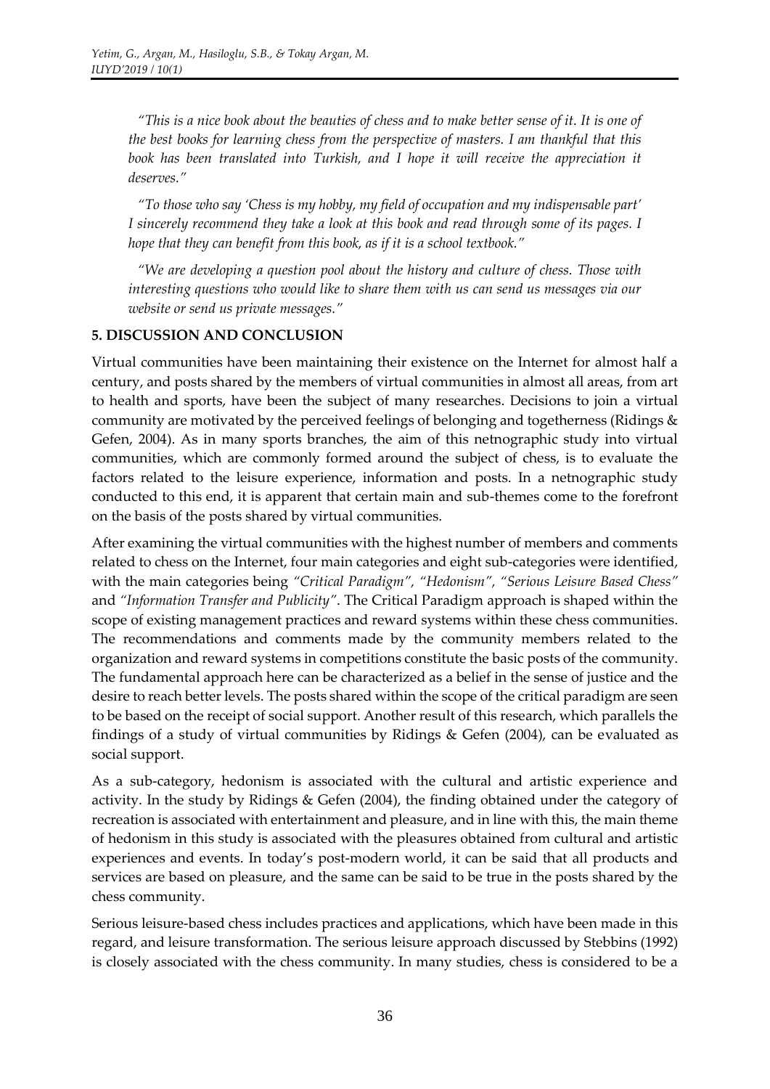*"This is a nice book about the beauties of chess and to make better sense of it. It is one of the best books for learning chess from the perspective of masters. I am thankful that this*  book has been translated into Turkish, and I hope it will receive the appreciation it *deserves."* 

*"To those who say 'Chess is my hobby, my field of occupation and my indispensable part' I sincerely recommend they take a look at this book and read through some of its pages. I hope that they can benefit from this book, as if it is a school textbook."*

*"We are developing a question pool about the history and culture of chess. Those with interesting questions who would like to share them with us can send us messages via our website or send us private messages."*

### **5. DISCUSSION AND CONCLUSION**

Virtual communities have been maintaining their existence on the Internet for almost half a century, and posts shared by the members of virtual communities in almost all areas, from art to health and sports, have been the subject of many researches. Decisions to join a virtual community are motivated by the perceived feelings of belonging and togetherness (Ridings & Gefen, 2004). As in many sports branches, the aim of this netnographic study into virtual communities, which are commonly formed around the subject of chess, is to evaluate the factors related to the leisure experience, information and posts. In a netnographic study conducted to this end, it is apparent that certain main and sub-themes come to the forefront on the basis of the posts shared by virtual communities.

After examining the virtual communities with the highest number of members and comments related to chess on the Internet, four main categories and eight sub-categories were identified, with the main categories being *"Critical Paradigm", "Hedonism", "Serious Leisure Based Chess"*  and *"Information Transfer and Publicity"*. The Critical Paradigm approach is shaped within the scope of existing management practices and reward systems within these chess communities. The recommendations and comments made by the community members related to the organization and reward systems in competitions constitute the basic posts of the community. The fundamental approach here can be characterized as a belief in the sense of justice and the desire to reach better levels. The posts shared within the scope of the critical paradigm are seen to be based on the receipt of social support. Another result of this research, which parallels the findings of a study of virtual communities by Ridings & Gefen (2004), can be evaluated as social support.

As a sub-category, hedonism is associated with the cultural and artistic experience and activity. In the study by Ridings & Gefen (2004), the finding obtained under the category of recreation is associated with entertainment and pleasure, and in line with this, the main theme of hedonism in this study is associated with the pleasures obtained from cultural and artistic experiences and events. In today's post-modern world, it can be said that all products and services are based on pleasure, and the same can be said to be true in the posts shared by the chess community.

Serious leisure-based chess includes practices and applications, which have been made in this regard, and leisure transformation. The serious leisure approach discussed by Stebbins (1992) is closely associated with the chess community. In many studies, chess is considered to be a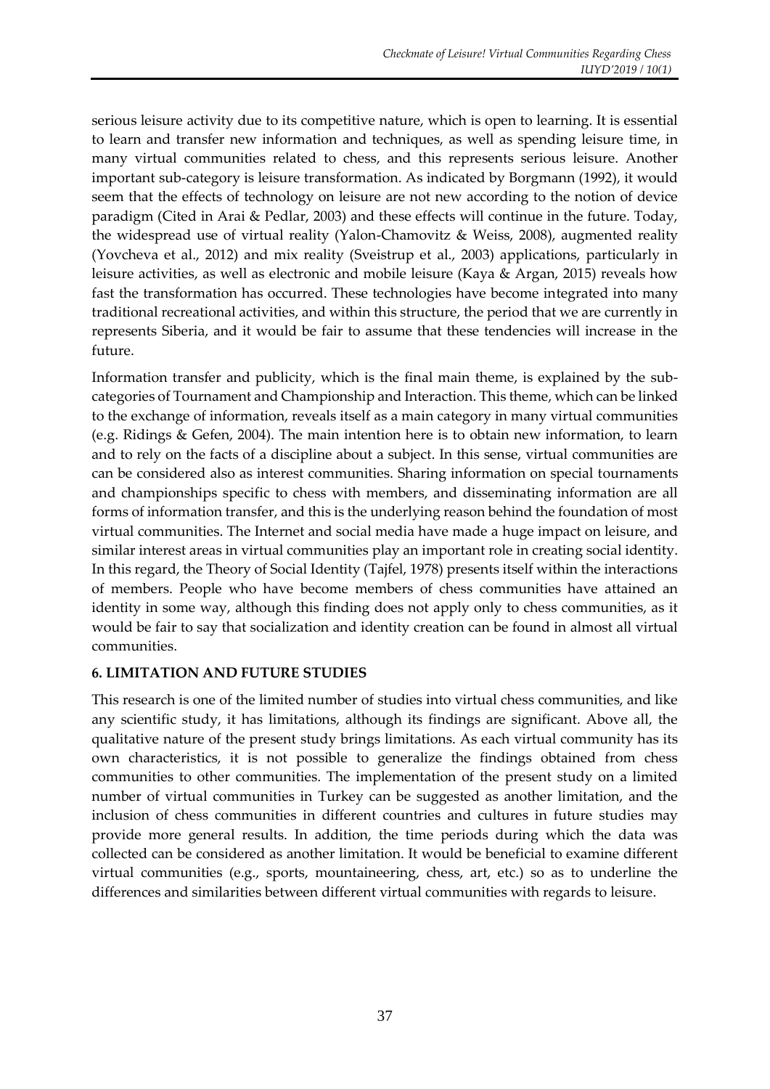serious leisure activity due to its competitive nature, which is open to learning. It is essential to learn and transfer new information and techniques, as well as spending leisure time, in many virtual communities related to chess, and this represents serious leisure. Another important sub-category is leisure transformation. As indicated by Borgmann (1992), it would seem that the effects of technology on leisure are not new according to the notion of device paradigm (Cited in Arai & Pedlar, 2003) and these effects will continue in the future. Today, the widespread use of virtual reality (Yalon-Chamovitz & Weiss, 2008), augmented reality (Yovcheva et al., 2012) and mix reality (Sveistrup et al., 2003) applications, particularly in leisure activities, as well as electronic and mobile leisure (Kaya & Argan, 2015) reveals how fast the transformation has occurred. These technologies have become integrated into many traditional recreational activities, and within this structure, the period that we are currently in represents Siberia, and it would be fair to assume that these tendencies will increase in the future.

Information transfer and publicity, which is the final main theme, is explained by the subcategories of Tournament and Championship and Interaction. This theme, which can be linked to the exchange of information, reveals itself as a main category in many virtual communities (e.g. Ridings & Gefen, 2004). The main intention here is to obtain new information, to learn and to rely on the facts of a discipline about a subject. In this sense, virtual communities are can be considered also as interest communities. Sharing information on special tournaments and championships specific to chess with members, and disseminating information are all forms of information transfer, and this is the underlying reason behind the foundation of most virtual communities. The Internet and social media have made a huge impact on leisure, and similar interest areas in virtual communities play an important role in creating social identity. In this regard, the Theory of Social Identity (Tajfel, 1978) presents itself within the interactions of members. People who have become members of chess communities have attained an identity in some way, although this finding does not apply only to chess communities, as it would be fair to say that socialization and identity creation can be found in almost all virtual communities.

## **6. LIMITATION AND FUTURE STUDIES**

This research is one of the limited number of studies into virtual chess communities, and like any scientific study, it has limitations, although its findings are significant. Above all, the qualitative nature of the present study brings limitations. As each virtual community has its own characteristics, it is not possible to generalize the findings obtained from chess communities to other communities. The implementation of the present study on a limited number of virtual communities in Turkey can be suggested as another limitation, and the inclusion of chess communities in different countries and cultures in future studies may provide more general results. In addition, the time periods during which the data was collected can be considered as another limitation. It would be beneficial to examine different virtual communities (e.g., sports, mountaineering, chess, art, etc.) so as to underline the differences and similarities between different virtual communities with regards to leisure.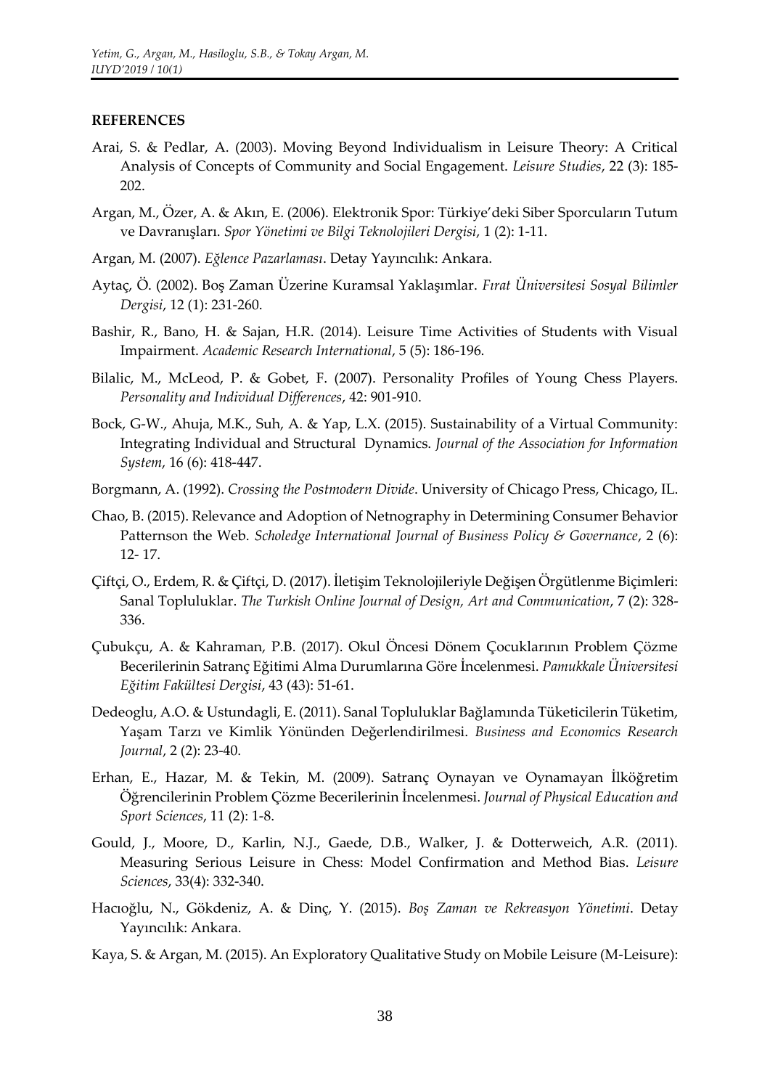#### **REFERENCES**

- Arai, S. & Pedlar, A. (2003). Moving Beyond Individualism in Leisure Theory: A Critical Analysis of Concepts of Community and Social Engagement. *Leisure Studies*, 22 (3): 185- 202.
- Argan, M., Özer, A. & Akın, E. (2006). Elektronik Spor: Türkiye'deki Siber Sporcuların Tutum ve Davranışları. *Spor Yönetimi ve Bilgi Teknolojileri Dergisi*, 1 (2): 1-11.
- Argan, M. (2007). *Eğlence Pazarlaması*. Detay Yayıncılık: Ankara.
- Aytaç, Ö. (2002). Boş Zaman Üzerine Kuramsal Yaklaşımlar. *Fırat Üniversitesi Sosyal Bilimler Dergisi*, 12 (1): 231-260.
- Bashir, R., Bano, H. & Sajan, H.R. (2014). Leisure Time Activities of Students with Visual Impairment. *Academic Research International*, 5 (5): 186-196.
- Bilalic, M., McLeod, P. & Gobet, F. (2007). Personality Profiles of Young Chess Players. *Personality and Individual Differences*, 42: 901-910.
- Bock, G-W., Ahuja, M.K., Suh, A. & Yap, L.X. (2015). Sustainability of a Virtual Community: Integrating Individual and Structural Dynamics. *Journal of the Association for Information System*, 16 (6): 418-447.
- Borgmann, A. (1992). *Crossing the Postmodern Divide*. University of Chicago Press, Chicago, IL.
- Chao, B. (2015). Relevance and Adoption of Netnography in Determining Consumer Behavior Patternson the Web. *Scholedge International Journal of Business Policy & Governance*, 2 (6): 12- 17.
- Çiftçi, O., Erdem, R. & Çiftçi, D. (2017). İletişim Teknolojileriyle Değişen Örgütlenme Biçimleri: Sanal Topluluklar. *The Turkish Online Journal of Design, Art and Communication*, 7 (2): 328- 336.
- Çubukçu, A. & Kahraman, P.B. (2017). Okul Öncesi Dönem Çocuklarının Problem Çözme Becerilerinin Satranç Eğitimi Alma Durumlarına Göre İncelenmesi. *Pamukkale Üniversitesi Eğitim Fakültesi Dergisi*, 43 (43): 51-61.
- Dedeoglu, A.O. & Ustundagli, E. (2011). Sanal Topluluklar Bağlamında Tüketicilerin Tüketim, Yaşam Tarzı ve Kimlik Yönünden Değerlendirilmesi. *Business and Economics Research Journal*, 2 (2): 23-40.
- Erhan, E., Hazar, M. & Tekin, M. (2009). Satranç Oynayan ve Oynamayan İlköğretim Öğrencilerinin Problem Çözme Becerilerinin İncelenmesi. *Journal of Physical Education and Sport Sciences*, 11 (2): 1-8.
- Gould, J., Moore, D., Karlin, N.J., Gaede, D.B., Walker, J. & Dotterweich, A.R. (2011). Measuring Serious Leisure in Chess: Model Confirmation and Method Bias. *Leisure Sciences*, 33(4): 332-340.
- Hacıoğlu, N., Gökdeniz, A. & Dinç, Y. (2015). *Boş Zaman ve Rekreasyon Yönetimi*. Detay Yayıncılık: Ankara.
- Kaya, S. & Argan, M. (2015). An Exploratory Qualitative Study on Mobile Leisure (M-Leisure):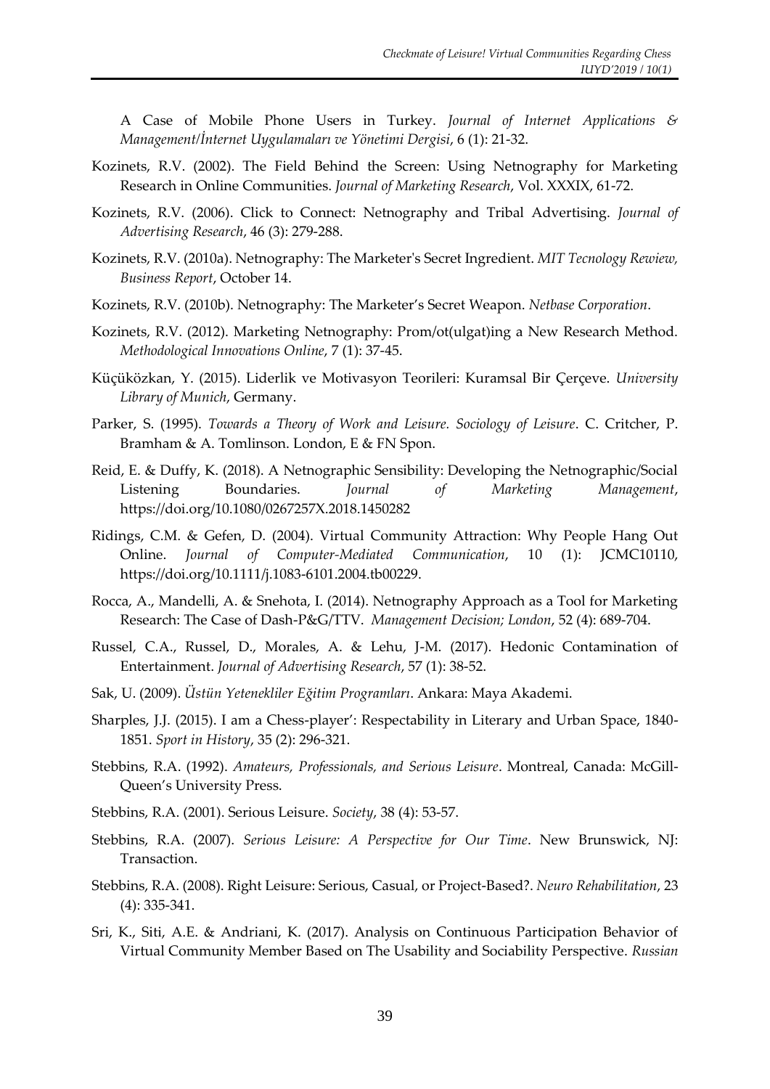A Case of Mobile Phone Users in Turkey. *Journal of Internet Applications & Management/İnternet Uygulamaları ve Yönetimi Dergisi*, 6 (1): 21-32.

- Kozinets, R.V. (2002). The Field Behind the Screen: Using Netnography for Marketing Research in Online Communities. *Journal of Marketing Research*, Vol. XXXIX, 61-72.
- Kozinets, R.V. (2006). Click to Connect: Netnography and Tribal Advertising. *Journal of Advertising Research*, 46 (3): 279-288.
- Kozinets, R.V. (2010a). Netnography: The Marketer's Secret Ingredient. *MIT Tecnology Rewiew, Business Report*, October 14.
- Kozinets, R.V. (2010b). Netnography: The Marketer's Secret Weapon. *Netbase Corporation*.
- Kozinets, R.V. (2012). Marketing Netnography: Prom/ot(ulgat)ing a New Research Method. *Methodological Innovations Online*, 7 (1): 37-45.
- Küçüközkan, Y. (2015). Liderlik ve Motivasyon Teorileri: Kuramsal Bir Çerçeve. *University Library of Munich*, Germany.
- Parker, S. (1995). *Towards a Theory of Work and Leisure. Sociology of Leisure*. C. Critcher, P. Bramham & A. Tomlinson. London, E & FN Spon.
- Reid, E. & Duffy, K. (2018). A Netnographic Sensibility: Developing the Netnographic/Social Listening Boundaries. *Journal of Marketing Management*, https://doi.org/10.1080/0267257X.2018.1450282
- Ridings, C.M. & Gefen, D. (2004). Virtual Community Attraction: Why People Hang Out Online. *Journal of Computer-Mediated Communication*, 10 (1): JCMC10110, https://doi.org/10.1111/j.1083-6101.2004.tb00229.
- Rocca, A., Mandelli, A. & Snehota, I. (2014). Netnography Approach as a Tool for Marketing Research: The Case of Dash-P&G/TTV. *Management Decision; London*, 52 (4): 689-704.
- Russel, C.A., Russel, D., Morales, A. & Lehu, J-M. (2017). Hedonic Contamination of Entertainment. *Journal of Advertising Research*, 57 (1): 38-52.
- Sak, U. (2009). *Üstün Yetenekliler Eğitim Programları*. Ankara: Maya Akademi.
- Sharples, J.J. (2015). I am a Chess-player': Respectability in Literary and Urban Space, 1840- 1851. *Sport in History*, 35 (2): 296-321.
- Stebbins, R.A. (1992). *Amateurs, Professionals, and Serious Leisure*. Montreal, Canada: McGill-Queen's University Press.
- Stebbins, R.A. (2001). Serious Leisure. *Society*, 38 (4): 53-57.
- Stebbins, R.A. (2007). *Serious Leisure: A Perspective for Our Time*. New Brunswick, NJ: Transaction.
- Stebbins, R.A. (2008). Right Leisure: Serious, Casual, or Project-Based?. *Neuro Rehabilitation*, 23 (4): 335-341.
- Sri, K., Siti, A.E. & Andriani, K. (2017). Analysis on Continuous Participation Behavior of Virtual Community Member Based on The Usability and Sociability Perspective. *Russian*